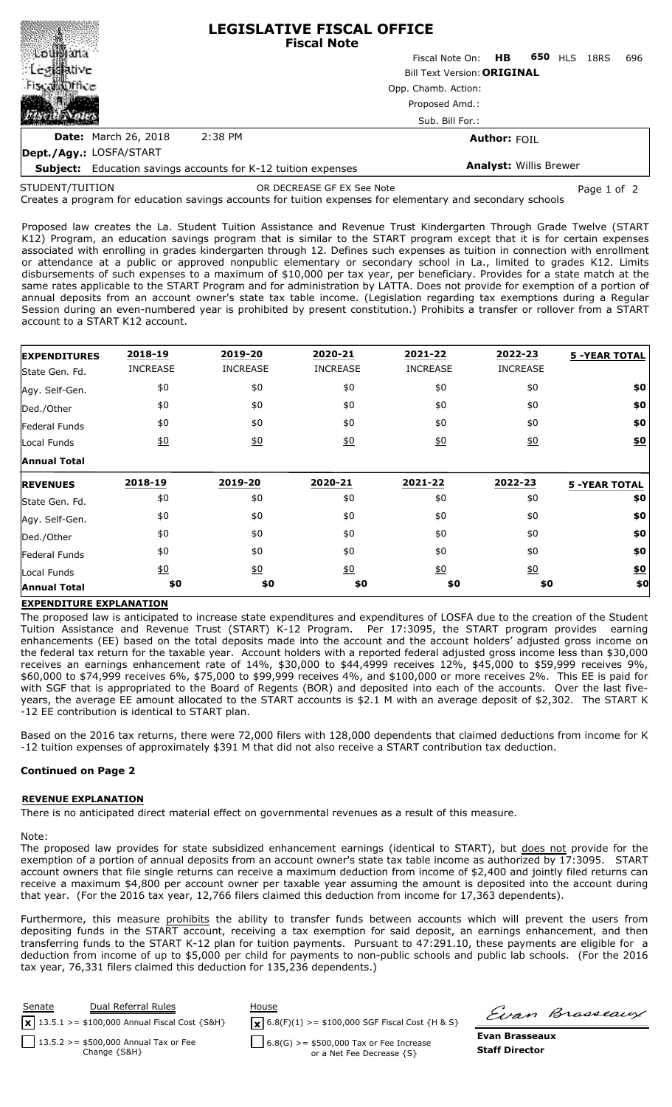|                                            |                                                                      | <b>LEGISLATIVE FISCAL OFFICE</b><br><b>Fiscal Note</b>    |                               |                     |                |  |      |     |
|--------------------------------------------|----------------------------------------------------------------------|-----------------------------------------------------------|-------------------------------|---------------------|----------------|--|------|-----|
| <b>SLouisiana</b>                          |                                                                      |                                                           | Fiscal Note On: HB            |                     | <b>650 HLS</b> |  | 18RS | 696 |
| <b>Legislative</b><br><b>FiscalaDffice</b> |                                                                      | <b>Bill Text Version: ORIGINAL</b><br>Opp. Chamb. Action: |                               |                     |                |  |      |     |
|                                            |                                                                      |                                                           |                               |                     |                |  |      |     |
|                                            |                                                                      |                                                           | Sub. Bill For.:               |                     |                |  |      |     |
|                                            | <b>Date:</b> March 26, 2018                                          | 2:38 PM                                                   |                               | <b>Author: FOIL</b> |                |  |      |     |
| Dept./Agy.: LOSFA/START                    |                                                                      |                                                           |                               |                     |                |  |      |     |
|                                            | <b>Subject:</b> Education savings accounts for K-12 tuition expenses |                                                           | <b>Analyst: Willis Brewer</b> |                     |                |  |      |     |

STUDENT/TUITION

OR DECREASE GF EX See Note Page 1 of 2

Creates a program for education savings accounts for tuition expenses for elementary and secondary schools

Proposed law creates the La. Student Tuition Assistance and Revenue Trust Kindergarten Through Grade Twelve (START K12) Program, an education savings program that is similar to the START program except that it is for certain expenses associated with enrolling in grades kindergarten through 12. Defines such expenses as tuition in connection with enrollment or attendance at a public or approved nonpublic elementary or secondary school in La., limited to grades K12. Limits disbursements of such expenses to a maximum of \$10,000 per tax year, per beneficiary. Provides for a state match at the same rates applicable to the START Program and for administration by LATTA. Does not provide for exemption of a portion of annual deposits from an account owner's state tax table income. (Legislation regarding tax exemptions during a Regular Session during an even-numbered year is prohibited by present constitution.) Prohibits a transfer or rollover from a START account to a START K12 account.

| <b>EXPENDITURES</b> | 2018-19          | 2019-20          | 2020-21          | 2021-22         | 2022-23          | <b>5 -YEAR TOTAL</b> |
|---------------------|------------------|------------------|------------------|-----------------|------------------|----------------------|
| State Gen. Fd.      | <b>INCREASE</b>  | <b>INCREASE</b>  | <b>INCREASE</b>  | <b>INCREASE</b> | <b>INCREASE</b>  |                      |
| Agy. Self-Gen.      | \$0              | \$0              | \$0              | \$0             | \$0              | \$0                  |
| Ded./Other          | \$0              | \$0              | \$0              | \$0             | \$0              | \$0                  |
| Federal Funds       | \$0              | \$0              | \$0              | \$0             | \$0              | \$0                  |
| Local Funds         | $\underline{50}$ | 60               | 60               | 60              | $\underline{50}$ | $\underline{\$0}$    |
| <b>Annual Total</b> |                  |                  |                  |                 |                  |                      |
|                     |                  |                  |                  |                 |                  |                      |
| <b>REVENUES</b>     | 2018-19          | 2019-20          | 2020-21          | 2021-22         | 2022-23          | <b>5 -YEAR TOTAL</b> |
| State Gen. Fd.      | \$0              | \$0              | \$0              | \$0             | \$0              | \$0                  |
| Agy. Self-Gen.      | \$0              | \$0              | \$0              | \$0             | \$0              | \$0                  |
| Ded./Other          | \$0              | \$0              | \$0              | \$0             | \$0              | \$0                  |
| Federal Funds       | \$0              | \$0              | \$0              | \$0             | \$0              | \$0                  |
| Local Funds         | $\underline{50}$ | $\underline{50}$ | $\underline{50}$ | $\frac{1}{2}$   | $\underline{50}$ | $\underline{\$0}$    |

## **EXPENDITURE EXPLANATION**

The proposed law is anticipated to increase state expenditures and expenditures of LOSFA due to the creation of the Student Tuition Assistance and Revenue Trust (START) K-12 Program. Per 17:3095, the START program provides earning enhancements (EE) based on the total deposits made into the account and the account holders' adjusted gross income on the federal tax return for the taxable year. Account holders with a reported federal adjusted gross income less than \$30,000 receives an earnings enhancement rate of 14%, \$30,000 to \$44,4999 receives 12%, \$45,000 to \$59,999 receives 9%, \$60,000 to \$74,999 receives 6%, \$75,000 to \$99,999 receives 4%, and \$100,000 or more receives 2%. This EE is paid for with SGF that is appropriated to the Board of Regents (BOR) and deposited into each of the accounts. Over the last fiveyears, the average EE amount allocated to the START accounts is \$2.1 M with an average deposit of \$2,302. The START K -12 EE contribution is identical to START plan.

Based on the 2016 tax returns, there were 72,000 filers with 128,000 dependents that claimed deductions from income for K -12 tuition expenses of approximately \$391 M that did not also receive a START contribution tax deduction.

## **Continued on Page 2**

## **REVENUE EXPLANATION**

There is no anticipated direct material effect on governmental revenues as a result of this measure.

Note:

The proposed law provides for state subsidized enhancement earnings (identical to START), but does not provide for the exemption of a portion of annual deposits from an account owner's state tax table income as authorized by 17:3095. START account owners that file single returns can receive a maximum deduction from income of \$2,400 and jointly filed returns can receive a maximum \$4,800 per account owner per taxable year assuming the amount is deposited into the account during that year. (For the 2016 tax year, 12,766 filers claimed this deduction from income for 17,363 dependents).

Furthermore, this measure prohibits the ability to transfer funds between accounts which will prevent the users from depositing funds in the START account, receiving a tax exemption for said deposit, an earnings enhancement, and then transferring funds to the START K-12 plan for tuition payments. Pursuant to 47:291.10, these payments are eligible for a deduction from income of up to \$5,000 per child for payments to non-public schools and public lab schools. (For the 2016 tax year, 76,331 filers claimed this deduction for 135,236 dependents.)

| Senate | Dual Referral Rules                                          | House                                                                                 |
|--------|--------------------------------------------------------------|---------------------------------------------------------------------------------------|
|        | $\vert x \vert$ 13.5.1 >= \$100,000 Annual Fiscal Cost {S&H} | $\mathbf{X}$ 6.8(F)(1) >= \$100,000 SGF Fiscal Cost {H & S}                           |
|        | 13.5.2 >= $$500,000$ Annual Tax or Fee<br>Change $\{S\&H\}$  | $\begin{bmatrix} 6.8(G) >= $500,000$ Tax or Fee Increase<br>or a Net Fee Decrease {S} |

Firan Brasseaux

**Evan Brasseaux Staff Director**